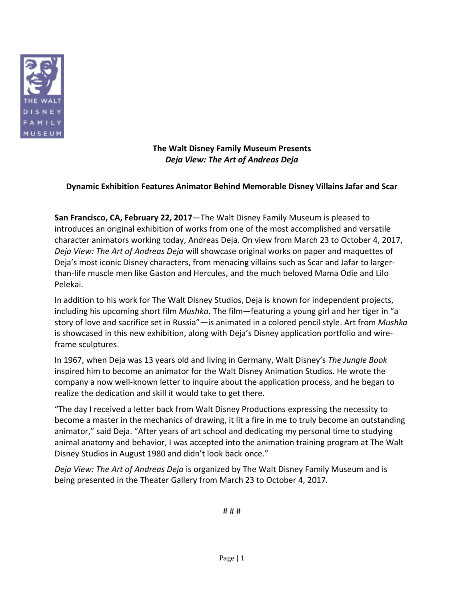

**The Walt Disney Family Museum Presents** *Deja View: The Art of Andreas Deja*

## **Dynamic Exhibition Features Animator Behind Memorable Disney Villains Jafar and Scar**

**San Francisco, CA, February 22, 2017**—The Walt Disney Family Museum is pleased to introduces an original exhibition of works from one of the most accomplished and versatile character animators working today, Andreas Deja. On view from March 23 to October 4, 2017, *Deja View: The Art of Andreas Deja* will showcase original works on paper and maquettes of Deja's most iconic Disney characters, from menacing villains such as Scar and Jafar to largerthan-life muscle men like Gaston and Hercules, and the much beloved Mama Odie and Lilo Pelekai.

In addition to his work for The Walt Disney Studios, Deja is known for independent projects, including his upcoming short film *Mushka*. The film—featuring a young girl and her tiger in "a story of love and sacrifice set in Russia"—is animated in a colored pencil style. Art from *Mushka* is showcased in this new exhibition, along with Deja's Disney application portfolio and wireframe sculptures.

In 1967, when Deja was 13 years old and living in Germany, Walt Disney's *The Jungle Book* inspired him to become an animator for the Walt Disney Animation Studios. He wrote the company a now well-known letter to inquire about the application process, and he began to realize the dedication and skill it would take to get there.

"The day I received a letter back from Walt Disney Productions expressing the necessity to become a master in the mechanics of drawing, it lit a fire in me to truly become an outstanding animator," said Deja. "After years of art school and dedicating my personal time to studying animal anatomy and behavior, I was accepted into the animation training program at The Walt Disney Studios in August 1980 and didn't look back once."

*Deja View: The Art of Andreas Deja* is organized by The Walt Disney Family Museum and is being presented in the Theater Gallery from March 23 to October 4, 2017.

# # #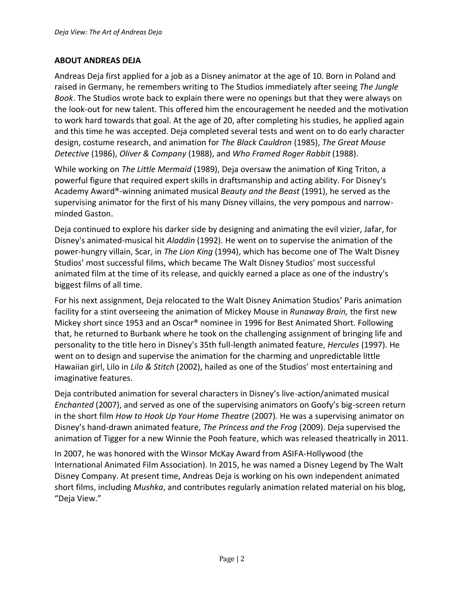## **ABOUT ANDREAS DEJA**

Andreas Deja first applied for a job as a Disney animator at the age of 10. Born in Poland and raised in Germany, he remembers writing to The Studios immediately after seeing *The Jungle Book*. The Studios wrote back to explain there were no openings but that they were always on the look-out for new talent. This offered him the encouragement he needed and the motivation to work hard towards that goal. At the age of 20, after completing his studies, he applied again and this time he was accepted. Deja completed several tests and went on to do early character design, costume research, and animation for *The Black Cauldron* (1985), *The Great Mouse Detective* (1986), *Oliver & Company* (1988), and *Who Framed Roger Rabbit* (1988).

While working on *The Little Mermaid* (1989), Deja oversaw the animation of King Triton, a powerful figure that required expert skills in draftsmanship and acting ability. For Disney's Academy Award®-winning animated musical *Beauty and the Beast* (1991), he served as the supervising animator for the first of his many Disney villains, the very pompous and narrowminded Gaston.

Deja continued to explore his darker side by designing and animating the evil vizier, Jafar, for Disney's animated-musical hit *Aladdin* (1992). He went on to supervise the animation of the power-hungry villain, Scar, in *The Lion King* (1994), which has become one of The Walt Disney Studios' most successful films, which became The Walt Disney Studios' most successful animated film at the time of its release, and quickly earned a place as one of the industry's biggest films of all time.

For his next assignment, Deja relocated to the Walt Disney Animation Studios' Paris animation facility for a stint overseeing the animation of Mickey Mouse in *Runaway Brain,* the first new Mickey short since 1953 and an Oscar® nominee in 1996 for Best Animated Short. Following that, he returned to Burbank where he took on the challenging assignment of bringing life and personality to the title hero in Disney's 35th full-length animated feature, *Hercules* (1997). He went on to design and supervise the animation for the charming and unpredictable little Hawaiian girl, Lilo in *Lilo & Stitch* (2002), hailed as one of the Studios' most entertaining and imaginative features.

Deja contributed animation for several characters in Disney's live-action/animated musical *Enchanted* (2007), and served as one of the supervising animators on Goofy's big-screen return in the short film *How to Hook Up Your Home Theatre* (2007)*.* He was a supervising animator on Disney's hand-drawn animated feature, *The Princess and the Frog* (2009). Deja supervised the animation of Tigger for a new Winnie the Pooh feature, which was released theatrically in 2011.

In 2007, he was honored with the Winsor McKay Award from ASIFA-Hollywood (the International Animated Film Association). In 2015, he was named a Disney Legend by The Walt Disney Company. At present time, Andreas Deja is working on his own independent animated short films, including *Mushka*, and contributes regularly animation related material on his blog, "Deja View."